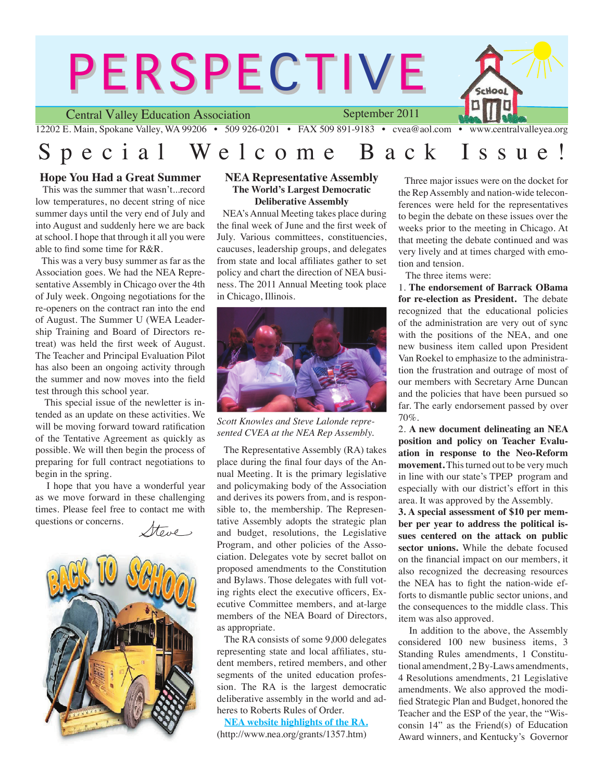

# Special Welcome Back Issue

### **Hope You Had a Great Summer**

 This was the summer that wasn't...record low temperatures, no decent string of nice summer days until the very end of July and into August and suddenly here we are back at school. I hope that through it all you were able to find some time for R&R.

 This was a very busy summer as far as the Association goes. We had the NEA Representative Assembly in Chicago over the 4th of July week. Ongoing negotiations for the re-openers on the contract ran into the end of August. The Summer U (WEA Leadership Training and Board of Directors retreat) was held the first week of August. The Teacher and Principal Evaluation Pilot has also been an ongoing activity through the summer and now moves into the field test through this school year.

 This special issue of the newletter is intended as an update on these activities. We will be moving forward toward ratification of the Tentative Agreement as quickly as possible. We will then begin the process of preparing for full contract negotiations to begin in the spring.

 I hope that you have a wonderful year as we move forward in these challenging times. Please feel free to contact me with questions or concerns.





#### **NEA Representative Assembly The World's Largest Democratic Deliberative Assembly**

 NEA's Annual Meeting takes place during the final week of June and the first week of July. Various committees, constituencies, caucuses, leadership groups, and delegates from state and local affiliates gather to set policy and chart the direction of NEA business. The 2011 Annual Meeting took place in Chicago, Illinois.



*Scott Knowles and Steve Lalonde represented CVEA at the NEA Rep Assembly.*

 The Representative Assembly (RA) takes place during the final four days of the Annual Meeting. It is the primary legislative and policymaking body of the Association and derives its powers from, and is responsible to, the membership. The Representative Assembly adopts the strategic plan and budget, resolutions, the Legislative Program, and other policies of the Association. Delegates vote by secret ballot on proposed amendments to the Constitution and Bylaws. Those delegates with full voting rights elect the executive officers, Executive Committee members, and at-large members of the NEA Board of Directors, as appropriate.

 The RA consists of some 9,000 delegates representing state and local affiliates, student members, retired members, and other segments of the united education profession. The RA is the largest democratic deliberative assembly in the world and adheres to Roberts Rules of Order.

 **NEA website highlights of the RA.** (http://www.nea.org/grants/1357.htm)

 Three major issues were on the docket for the Rep Assembly and nation-wide teleconferences were held for the representatives to begin the debate on these issues over the weeks prior to the meeting in Chicago. At that meeting the debate continued and was very lively and at times charged with emotion and tension.

The three items were:

1. **The endorsement of Barrack OBama for re-election as President.** The debate recognized that the educational policies of the administration are very out of sync with the positions of the NEA, and one new business item called upon President Van Roekel to emphasize to the administration the frustration and outrage of most of our members with Secretary Arne Duncan and the policies that have been pursued so far. The early endorsement passed by over 70%.

2. **A new document delineating an NEA position and policy on Teacher Evaluation in response to the Neo-Reform movement.** This turned out to be very much in line with our state's TPEP program and especially with our district's effort in this area. It was approved by the Assembly.

**3. A special assessment of \$10 per member per year to address the political issues centered on the attack on public sector unions.** While the debate focused on the financial impact on our members, it also recognized the decreasing resources the NEA has to fight the nation-wide efforts to dismantle public sector unions, and the consequences to the middle class. This item was also approved.

 In addition to the above, the Assembly considered 100 new business items, 3 Standing Rules amendments, 1 Constitutional amendment, 2 By-Laws amendments, 4 Resolutions amendments, 21 Legislative amendments. We also approved the modified Strategic Plan and Budget, honored the Teacher and the ESP of the year, the "Wisconsin 14" as the Friend(s) of Education Award winners, and Kentucky's Governor